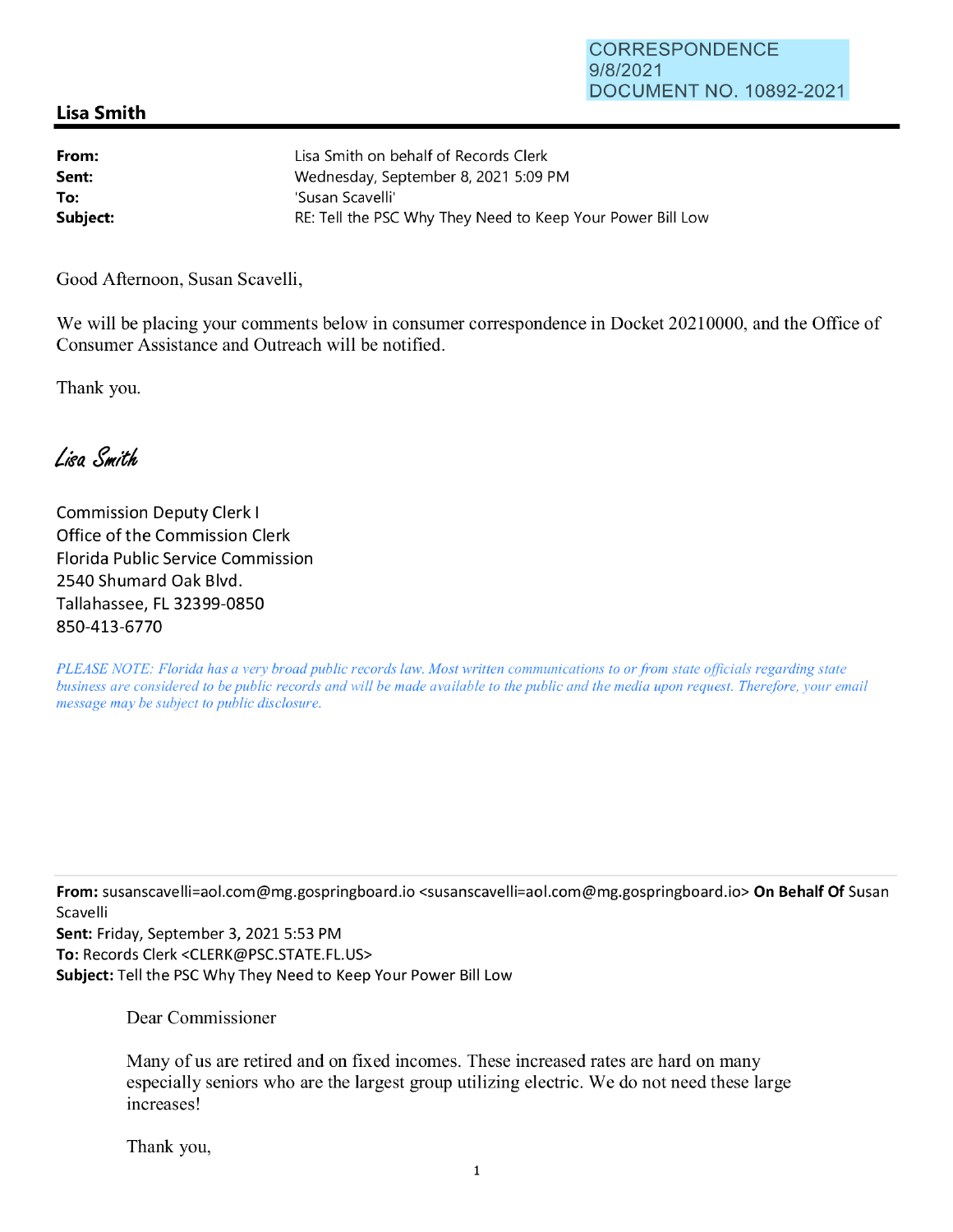## **Lisa Smith**

| From:    | Lisa Smith on behalf of Records Clerk                      |
|----------|------------------------------------------------------------|
| Sent:    | Wednesday, September 8, 2021 5:09 PM                       |
| To:      | 'Susan Scavelli'                                           |
| Subject: | RE: Tell the PSC Why They Need to Keep Your Power Bill Low |

Good Afternoon, Susan Scavelli,

We will be placing your comments below in consumer correspondence in Docket 20210000, and the Office of Consumer Assistance and Outreach will be notified.

Thank you.

Lisa Smith

Commission Deputy Clerk I Office of the Commission Clerk Florida Public Service Commission 2540 Shumard Oak Blvd. Tallahassee, FL 32399-0850 850-413-6770

*PLEASE NOTE: Florida has a very broad public records law. Most written communications to or from state officials regarding state business are considered to be public records and will be made available to the public and the media upon request. Therefore, your email message may be subject to public disclosure.* 

**From:** susanscavelli=aol.com@mg.gospringboard.io <susanscavelli=aol.com@mg.gospringboard.io> **On Behalf Of** Susan Scavelli

**Sent:** Friday, September 3, 2021 5:53 PM **To:** Records Clerk <CLERK@PSC.STATE.FL.US> **Subject:** Tell the PSC Why They Need to Keep Your Power Bill Low

Dear Commissioner

Many of us are retired and on fixed incomes. These increased rates are hard on many especially seniors who are the largest group utilizing electric. We do not need these large increases!

Thank you,